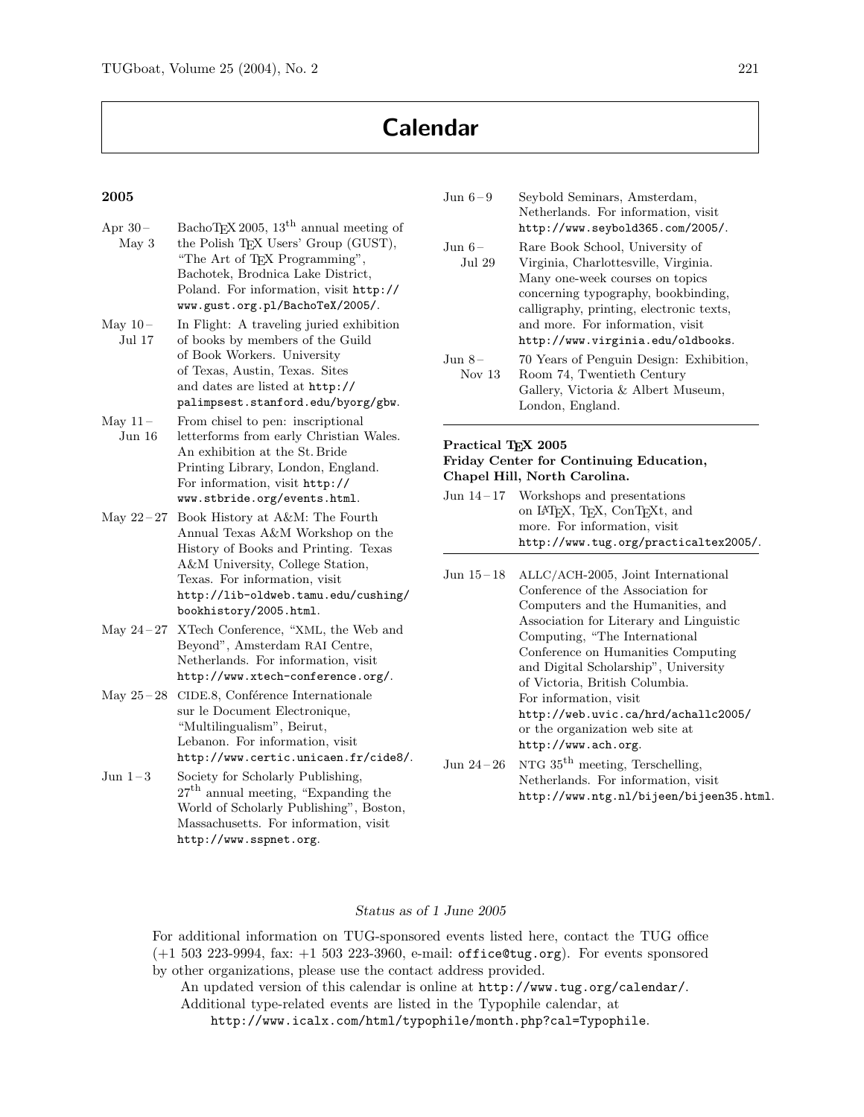# Calendar

### 2005

| Apr $30-$<br>May <sub>3</sub> | BachoT <sub>F</sub> X 2005, 13 <sup>th</sup> annual meeting of<br>the Polish TEX Users' Group (GUST),<br>"The Art of TFX Programming",<br>Bachotek, Brodnica Lake District,<br>Poland. For information, visit http://<br>www.gust.org.pl/BachoTeX/2005/. |
|-------------------------------|----------------------------------------------------------------------------------------------------------------------------------------------------------------------------------------------------------------------------------------------------------|
| May $10-$<br>Jul 17           | In Flight: A traveling juried exhibition<br>of books by members of the Guild<br>of Book Workers. University<br>of Texas, Austin, Texas. Sites<br>and dates are listed at http://<br>palimpsest.stanford.edu/byorg/gbw.                                   |
| May $11-$<br>Jun 16           | From chisel to pen: inscriptional<br>letterforms from early Christian Wales.<br>An exhibition at the St. Bride<br>Printing Library, London, England.<br>For information, visit http://<br>www.stbride.org/events.html.                                   |
| May $22 - 27$                 | Book History at A&M: The Fourth<br>Annual Texas A&M Workshop on the<br>History of Books and Printing. Texas<br>A&M University, College Station,<br>Texas. For information, visit<br>http://lib-oldweb.tamu.edu/cushing/<br>bookhistory/2005.html.        |
| May $24 - 27$                 | XTech Conference, "XML, the Web and<br>Beyond", Amsterdam RAI Centre,<br>Netherlands. For information, visit<br>http://www.xtech-conference.org/.                                                                                                        |
| May $25 - 28$                 | CIDE.8, Conférence Internationale<br>sur le Document Electronique,<br>"Multilingualism", Beirut,<br>Lebanon. For information, visit<br>http://www.certic.unicaen.fr/cide8/.                                                                              |
| Jun 1–3                       | Society for Scholarly Publishing,<br>$27th$ annual meeting, "Expanding the<br>World of Scholarly Publishing", Boston,<br>Massachusetts. For information, visit<br>http://www.sspnet.org.                                                                 |

| Jun $6-9$        | Seybold Seminars, Amsterdam,<br>Netherlands. For information, visit<br>http://www.seybold365.com/2005/.                                                                                                  |
|------------------|----------------------------------------------------------------------------------------------------------------------------------------------------------------------------------------------------------|
| Jun 6–<br>Jul 29 | Rare Book School, University of<br>Virginia, Charlottesville, Virginia.<br>Many one-week courses on topics<br>concerning typography, bookbinding,<br>calligraphy, printing, electronic texts,            |
| Jun 8–<br>Nov 13 | and more. For information, visit<br>http://www.virginia.edu/oldbooks.<br>70 Years of Penguin Design: Exhibition,<br>Room 74, Twentieth Century<br>Gallery, Victoria & Albert Museum,<br>London, England. |

#### Practical T<sub>E</sub>X 2005 Friday Center for Continuing Education, Chapel Hill, North Carolina.

- Jun 14 17 Workshops and presentations on L<sup>A</sup>TEX, TEX, ConTEXt, and more. For information, visit http://www.tug.org/practicaltex2005/.
- Jun 15 18 ALLC/ACH-2005, Joint International Conference of the Association for Computers and the Humanities, and Association for Literary and Linguistic Computing, "The International Conference on Humanities Computing and Digital Scholarship", University of Victoria, British Columbia. For information, visit http://web.uvic.ca/hrd/achallc2005/ or the organization web site at http://www.ach.org. Jun 24 – 26 NTG  $35<sup>th</sup>$  meeting, Terschelling,
- Netherlands. For information, visit http://www.ntg.nl/bijeen/bijeen35.html.

#### Status as of 1 June 2005

For additional information on TUG-sponsored events listed here, contact the TUG office (+1 503 223-9994, fax: +1 503 223-3960, e-mail: office@tug.org). For events sponsored by other organizations, please use the contact address provided.

An updated version of this calendar is online at http://www.tug.org/calendar/. Additional type-related events are listed in the Typophile calendar, at

http://www.icalx.com/html/typophile/month.php?cal=Typophile.